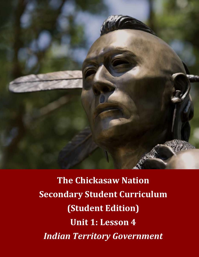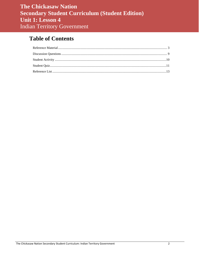# **Table of Contents**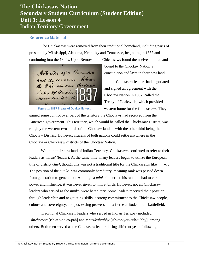#### <span id="page-2-0"></span>**Reference Material**

The Chickasaws were removed from their traditional homeland, including parts of present-day Mississippi, Alabama, Kentucky and Tennessee, beginning in 1837 and continuing into the 1890s. Upon Removal, the Chickasaws found themselves limited and

Articles of a Convention and agreement, between Tribe, of Indian. November 4th A.d. 18

**Figure 1: 1837 Treaty of Doaksville text.**

bound to the Choctaw Nation's constitution and laws in their new land.

Chickasaw leaders had negotiated and signed an agreement with the Choctaw Nation in 1837, called the Treaty of Doaksville, which provided a western home for the Chickasaws. They

gained some control over part of the territory the Choctaws had received from the American government. This territory, which would be called the Chickasaw District, was roughly the western two-thirds of the Choctaw lands—with the other third being the Choctaw District. However, citizens of both nations could settle anywhere in the Choctaw or Chickasaw districts of the Choctaw Nation.

While in their new land of Indian Territory, Chickasaws continued to refer to their leaders as *minko'* (leader). At the same time, many leaders began to utilize the European title of district *chief*, though this was not a traditional title for the Chickasaws like *minko'*. The position of the *minko'* was commonly hereditary, meaning rank was passed down from generation to generation. Although a *minko'* inherited his rank, he had to earn his power and influence; it was never given to him at birth. However, not all Chickasaw leaders who served as the *minko'* were hereditary. Some leaders received their position through leadership and negotiating skills, a strong commitment to the Chickasaw people, culture and sovereignty, and possessing prowess and a fierce attitude on the battlefield.

Traditional Chickasaw leaders who served in Indian Territory included *Ishtehotopa* [ish-tee-ho-to-pah] and *Ishteukahtubby* [ish-tee-you-cuh-tubby], among others. Both men served as the Chickasaw leader during different years following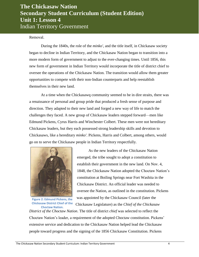Removal.

During the 1840s, the role of the *minko'*, and the title itself, in Chickasaw society began to decline in Indian Territory, and the Chickasaw Nation began to transition into a more modern form of government to adjust to the ever-changing times. Until 1856, this new form of government in Indian Territory would incorporate the title of district chief to oversee the operations of the Chickasaw Nation. The transition would allow them greater opportunities to compete with their non-Indian counterparts and help reestablish themselves in their new land.

At a time when the Chickasawq community seemed to be in dire straits, there was a renaissance of personal and group pride that produced a fresh sense of purpose and direction. They adapted to their new land and forged a new way of life to match the challenges they faced. A new group of Chickasaw leaders stepped forward—men like Edmund Pickens, Cyrus Harris and Winchester Colbert. These men were not hereditary Chickasaw leaders, but they each possessed strong leadership skills and devotion to Chickasaws, like a hereditary *minko'*. Pickens, Harris and Colbert, among others, would go on to serve the Chickasaw people in Indian Territory respectfully.



**Figure 2: Edmund Pickens, the Chickasaw District Chief of the Choctaw Nation.**

As the new leaders of the Chickasaw Nation emerged, the tribe sought to adopt a constitution to establish their government in the new land. On Nov. 4, 1848, the Chickasaw Nation adopted the Choctaw Nation's constitution at Boiling Springs near Fort Washita in the Chickasaw District. An official leader was needed to oversee the Nation, as outlined in the constitution. Pickens was appointed by the Chickasaw Council (later the Chickasaw Legislature) as the *Chief of the Chickasaw* 

*District of the Choctaw Nation*. The title of district *chief* was selected to reflect the Choctaw Nation's leader, a requirement of the adopted Choctaw constitution. Pickens' extensive service and dedication to the Chickasaw Nation helped lead the Chickasaw people toward progress and the signing of the 1856 Chickasaw Constitution. Pickens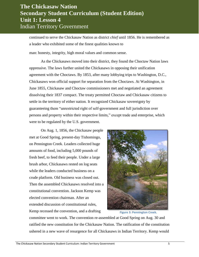continued to serve the Chickasaw Nation as district *chief* until 1856. He is remembered as a leader who exhibited some of the finest qualities known to

man: honesty, integrity, high moral values and common sense.

As the Chickasaws moved into their district, they found the Choctaw Nation laws oppressive. The laws further united the Chickasaws in opposing their unification agreement with the Choctaws. By 1853, after many lobbying trips to Washington, D.C., Chickasaws won official support for separation from the Choctaws. At Washington, in June 1855, Chickasaw and Choctaw commissioners met and negotiated an agreement dissolving their 1837 compact. The treaty permitted Choctaw and Chickasaw citizens to settle in the territory of either nation. It recognized Chickasaw sovereignty by guaranteeing them "unrestricted right of self-government and full jurisdiction over persons and property within their respective limits," except trade and enterprise, which were to be regulated by the U.S. government.

On Aug. 1, 1856, the Chickasaw people met at Good Spring, present-day Tishomingo, on Pennington Creek. Leaders collected huge amounts of food, including 5,000 pounds of fresh beef, to feed their people. Under a large brush arbor, Chickasaws rested on log seats while the leaders conducted business on a crude platform. Old business was closed out. Then the assembled Chickasaws resolved into a constitutional convention. Jackson Kemp was elected convention chairman. After an extended discussion of constitutional rules, Kemp recessed the convention, and a drafting



**Figure 3: Pennington Creek.**

committee went to work. The convention re-assembled at Good Spring on Aug. 30 and ratified the new constitution for the Chickasaw Nation. The ratification of the constitution ushered in a new wave of resurgence for all Chickasaws in Indian Territory. Kemp would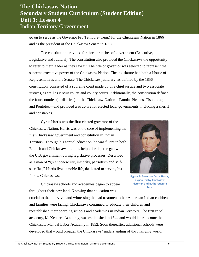go on to serve as the Governor Pro Tempore (Tem.) for the Chickasaw Nation in 1866 and as the president of the Chickasaw Senate in 1867.

The constitution provided for three branches of government (Executive, Legislative and Judicial). The constitution also provided the Chickasaws the opportunity to refer to their leader as they saw fit. The title of governor was selected to represent the supreme executive power of the Chickasaw Nation. The legislature had both a House of Representatives and a Senate. The Chickasaw judiciary, as defined by the 1856 constitution, consisted of a supreme court made up of a chief justice and two associate justices, as well as circuit courts and county courts. Additionally, the constitution defined the four counties (or districts) of the Chickasaw Nation—Panola, Pickens, Tishomingo and Pontotoc—and provided a structure for elected local governments, including a sheriff and constables.

Cyrus Harris was the first elected governor of the Chickasaw Nation. Harris was at the core of implementing the first Chickasaw government and constitution in Indian Territory. Through his formal education, he was fluent in both English and Chickasaw, and this helped bridge the gap with the U.S. government during legislative processes. Described as a man of "great generosity, integrity, patriotism and selfsacrifice," Harris lived a noble life, dedicated to serving his fellow Chickasaws.



**Figure 4: Governor Cyrus Harris, as painted by Chickasaw historian and author Juanita Tate.**

Chickasaw schools and academies began to appear throughout their new land. Knowing that education was

crucial to their survival and witnessing the bad treatment other American Indian children and families were facing, Chickasaws continued to educate their children and reestablished their boarding schools and academies in Indian Territory. The first tribal academy, McKendree Academy, was established in 1844 and would later become the Chickasaw Manual Labor Academy in 1852. Soon thereafter, additional schools were developed that would broaden the Chickasaws' understanding of the changing world,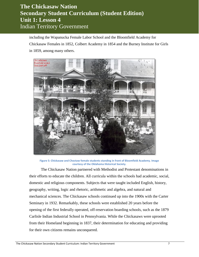including the Wapanucka Female Labor School and the Bloomfield Academy for Chickasaw Females in 1852, Colbert Academy in 1854 and the Burney Institute for Girls in 1859, among many others.



**Figure 5: Chickasaw and Choctaw female students standing in front of Bloomfield Academy. Image courtesy of the Oklahoma Historical Society.**

The Chickasaw Nation partnered with Methodist and Protestant denominations in their efforts to educate the children. All curricula within the schools had academic, social, domestic and religious components. Subjects that were taught included English, history, geography, writing, logic and rhetoric, arithmetic and algebra, and natural and mechanical sciences. The Chickasaw schools continued up into the 1900s with the Carter Seminary in 1932. Remarkably, these schools were established 20 years before the opening of the first federally operated, off-reservation boarding schools, such as the 1879 Carlisle Indian Industrial School in Pennsylvania. While the Chickasaws were uprooted from their Homeland beginning in 1837, their determination for educating and providing for their own citizens remains unconquered.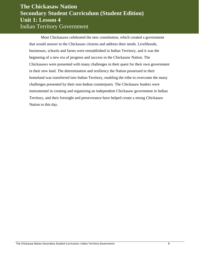Most Chickasaws celebrated the new constitution, which created a government that would answer to the Chickasaw citizens and address their needs. Livelihoods, businesses, schools and farms were reestablished in Indian Territory, and it was the beginning of a new era of progress and success in the Chickasaw Nation. The Chickasaws were presented with many challenges in their quest for their own government in their new land. The determination and resiliency the Nation possessed in their homeland was transferred into Indian Territory, enabling the tribe to overcome the many challenges presented by their non-Indian counterparts. The Chickasaw leaders were instrumental in creating and organizing an independent Chickasaw government in Indian Territory, and their foresight and perseverance have helped create a strong Chickasaw Nation to this day.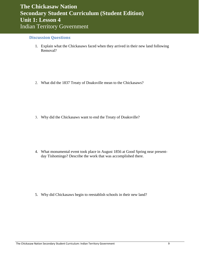#### <span id="page-8-0"></span>**Discussion Questions**

1. Explain what the Chickasaws faced when they arrived in their new land following Removal?

2. What did the 1837 Treaty of Doaksville mean to the Chickasaws?

3. Why did the Chickasaws want to end the Treaty of Doaksville?

4. What monumental event took place in August 1856 at Good Spring near presentday Tishomingo? Describe the work that was accomplished there.

5. Why did Chickasaws begin to reestablish schools in their new land?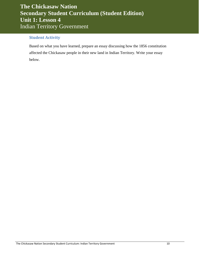#### <span id="page-9-0"></span>**Student Activity**

Based on what you have learned, prepare an essay discussing how the 1856 constitution affected the Chickasaw people in their new land in Indian Territory. Write your essay below.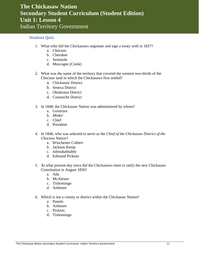#### <span id="page-10-0"></span>**Student Quiz**

- 1. What tribe did the Chickasaws negotiate and sign a treaty with in 1837?
	- a. Choctaw
	- b. Cherokee
	- c. Seminole
	- d. Muscogee (Creek)
- 2. What was the name of the territory that covered the western two-thirds of the Choctaw land in which the Chickasaws first settled?
	- a. Chickasaw District
	- b. Seneca District
	- c. Oklahoma District
	- d. Comanche District
- 3. In 1848, the Chickasaw Nation was administered by whom?
	- a. Governor
	- b. *Minko'*
	- c. Chief
	- d. President
- 4. In 1848, who was selected to serve as the *Chief of the Chickasaw District of the Choctaw Nation*?
	- a. Winchester Colbert
	- b. Jackson Kemp
	- c. *Ishteukahtubby*
	- d. Edmund Pickens
- 5. At what present-day town did the Chickasaws meet to ratify the new Chickasaw Constitution in August 1856?
	- a. Ada
	- b. McAlester
	- c. Tishomingo
	- d. Ardmore
- 6. Which is not a county or district within the Chickasaw Nation?
	- a. Panola
	- b. Ardmore
	- c. Pickens
	- d. Tishomingo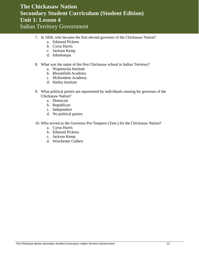- 7. In 1856, who became the first elected governor of the Chickasaw Nation?
	- a. Edmund Pickens
	- b. Cyrus Harris
	- c. Jackson Kemp
	- d. *Ishtehotopa*
- 8. What was the name of the first Chickasaw school in Indian Territory?
	- a. Wapanucka Institute
	- b. Bloomfield Academy
	- c. McKendree Academy
	- d. Harley Institute
- 9. What political parties are represented by individuals running for governor of the Chickasaw Nation?
	- a. Democrat
	- b. Republican
	- c. Independent
	- d. No political parties
- 10. Who served as the Governor Pro Tempore (Tem.) for the Chickasaw Nation?
	- a. Cyrus Harris
	- b. Edmund Pickens
	- c. Jackson Kemp
	- d. Winchester Colbert